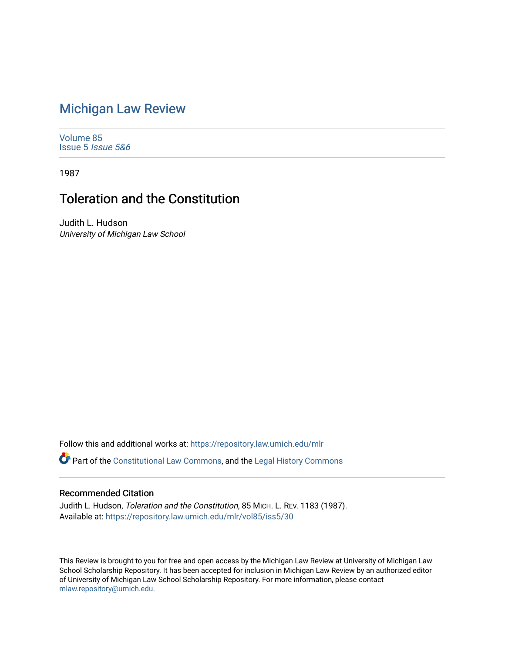## [Michigan Law Review](https://repository.law.umich.edu/mlr)

[Volume 85](https://repository.law.umich.edu/mlr/vol85) [Issue 5](https://repository.law.umich.edu/mlr/vol85/iss5) Issue 5&6

1987

## Toleration and the Constitution

Judith L. Hudson University of Michigan Law School

Follow this and additional works at: [https://repository.law.umich.edu/mlr](https://repository.law.umich.edu/mlr?utm_source=repository.law.umich.edu%2Fmlr%2Fvol85%2Fiss5%2F30&utm_medium=PDF&utm_campaign=PDFCoverPages) 

Part of the [Constitutional Law Commons,](http://network.bepress.com/hgg/discipline/589?utm_source=repository.law.umich.edu%2Fmlr%2Fvol85%2Fiss5%2F30&utm_medium=PDF&utm_campaign=PDFCoverPages) and the [Legal History Commons](http://network.bepress.com/hgg/discipline/904?utm_source=repository.law.umich.edu%2Fmlr%2Fvol85%2Fiss5%2F30&utm_medium=PDF&utm_campaign=PDFCoverPages) 

## Recommended Citation

Judith L. Hudson, Toleration and the Constitution, 85 MICH. L. REV. 1183 (1987). Available at: [https://repository.law.umich.edu/mlr/vol85/iss5/30](https://repository.law.umich.edu/mlr/vol85/iss5/30?utm_source=repository.law.umich.edu%2Fmlr%2Fvol85%2Fiss5%2F30&utm_medium=PDF&utm_campaign=PDFCoverPages) 

This Review is brought to you for free and open access by the Michigan Law Review at University of Michigan Law School Scholarship Repository. It has been accepted for inclusion in Michigan Law Review by an authorized editor of University of Michigan Law School Scholarship Repository. For more information, please contact [mlaw.repository@umich.edu.](mailto:mlaw.repository@umich.edu)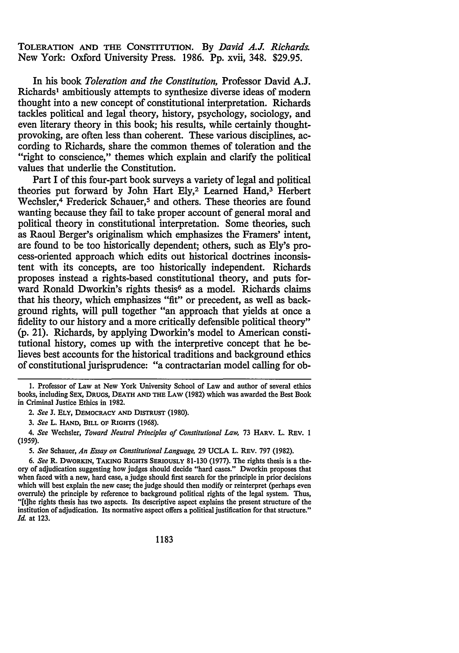TOLERATION AND THE CONSTITUTION. By *David A.J. Richards.*  New York: Oxford University Press. 1986. Pp. xvii, 348. \$29.95.

In his book *Toleration and the Constitution,* Professor David A.J. Richards1 ambitiously attempts to synthesize diverse ideas of modem thought into a new concept of constitutional interpretation. Richards tackles political and legal theory, history, psychology, sociology, and even literary theory in this book; his results, while certainly thoughtprovoking, are often less than coherent. These various disciplines, according to Richards, share the common themes of toleration and the "right to conscience," themes which explain and clarify the political values that underlie the Constitution.

Part I of this four-part book surveys a variety of legal and political theories put forward by John Hart Ely,<sup>2</sup> Learned Hand,<sup>3</sup> Herbert Wechsler,<sup>4</sup> Frederick Schauer,<sup>5</sup> and others. These theories are found wanting because they fail to take proper account of general moral and political theory in constitutional interpretation. Some theories, such as Raoul Berger's originalism which emphasizes the Framers' intent, are found to be too historically dependent; others, such as Ely's process-oriented approach which edits out historical doctrines inconsistent with its concepts, are too historically independent. Richards proposes instead a rights-based constitutional theory, and puts forward Ronald Dworkin's rights thesis<sup>6</sup> as a model. Richards claims that his theory, which emphasizes "fit" or precedent, as well as background rights, will pull together "an approach that yields at once a fidelity to our history and a more critically defensible political theory" (p. 21). Richards, by applying Dworkin's model to American constitutional history, comes up with the interpretive concept that he believes best accounts for the historical traditions and background ethics of constitutional jurisprudence: "a contractarian model calling for ob-

<sup>1.</sup> Professor of Law at New York University School of Law and author of several ethics books, including SEX, DRUGS, DEATH AND THE LAW (1982) which was awarded the Best Book in Criminal Justice Ethics in 1982.

<sup>2.</sup> *See* J. ELY, DEMOCRACY AND DISTRUST (1980).

<sup>3.</sup> *See* L. HAND, BILL OF RIGHTS (1968).

<sup>4.</sup> *See* Wechsler, *Toward Neutral Principles of Constitutional Law,* 73 HARV. L. REv. l (1959).

<sup>5.</sup> *See* Schauer, *An Essay on Constitutional Language,* 29 UCLA L. REv. 797 (1982).

<sup>6.</sup> *See* R. DWORKIN, TAKING RIGHTS SERIOUSLY 81-130 (1977). The rights thesis is a theory of adjudication suggesting how judges should decide "hard cases." Dworkin proposes that when faced with a new, hard case, a judge should first search for the principle in prior decisions which will best explain the new case; the judge should then modify or reinterpret (perhaps even overrule) the principle by reference to background political rights of the legal system. Thus, "[t]he rights thesis has two aspects. Its descriptive aspect explains the present structure of the institution of adjudication. Its normative aspect offers a political justification for that structure." *Id.* at 123.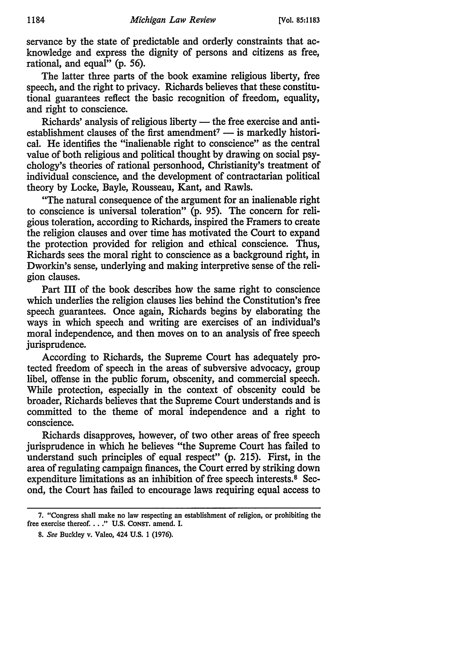servance by the state of predictable and orderly constraints that acknowledge and express the dignity of persons and citizens as free, rational, and equal" (p. 56).

The latter three parts of the book examine religious liberty, free speech, and the right to privacy. Richards believes that these constitutional guarantees reflect the basic recognition of freedom, equality, and right to conscience.

Richards' analysis of religious liberty — the free exercise and antiestablishment clauses of the first amendment<sup>7</sup> — is markedly historical. He identifies the "inalienable right to conscience" as the central value of both religious and political thought by drawing on social psychology's theories of rational personhood, Christianity's treatment of individual conscience, and the development of contractarian political theory by Locke, Bayle, Rousseau, Kant, and Rawls.

"The natural consequence of the argument for an inalienable right to conscience is universal toleration" (p. 95). The concern for religious toleration, according to Richards, inspired the Framers to create the religion clauses and over time has motivated the Court to expand the protection provided for religion and ethical conscience. Thus, Richards sees the moral right to conscience as a background right, in Dworkin's sense, underlying and making interpretive sense of the religion clauses.

Part III of the book describes how the same right to conscience which underlies the religion clauses lies behind the Constitution's free speech guarantees. Once again, Richards begins by elaborating the ways in which speech and writing are exercises of an individual's moral independence, and then moves on to an analysis of free speech jurisprudence.

According to Richards, the Supreme Court has adequately protected freedom of speech in the areas of subversive advocacy, group libel, offense in the public forum, obscenity, and commercial speech. While protection, especially in the context of obscenity could be broader, Richards believes that the Supreme Court understands and is committed to the theme of moral independence and a right to conscience.

Richards disapproves, however, of two other areas of free speech jurisprudence in which he believes "the Supreme Court has failed to understand such principles of equal respect" (p. 215). First, in the area of regulating campaign finances, the Court erred by striking down expenditure limitations as an inhibition of free speech interests.<sup>8</sup> Second, the Court has failed to encourage laws requiring equal access to

<sup>7. &</sup>quot;Congress shall make no law respecting an establishment of religion, or prohibiting the free exercise thereof. . . ." U.S. CONST. amend. I.

<sup>8.</sup> *See* Buckley v. Valeo, 424 U.S. 1 (1976).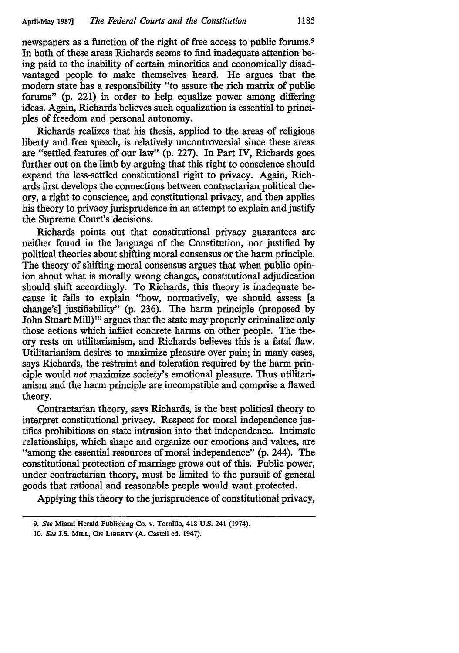newspapers as a function of the right of free access to public forums.<sup>9</sup> In both of these areas Richards seems to find inadequate attention being paid to the inability of certain minorities and economically disadvantaged people to make themselves heard. He argues that the modem state has a responsibility "to assure the rich matrix of public forums" (p. 221) in order to help equalize power among differing ideas. Again, Richards believes such equalization is essential to principles of freedom and personal autonomy.

Richards realizes that his thesis, applied to the areas of religious liberty and free speech, is relatively uncontroversial since these areas are "settled features of our law" (p. 227). In Part IV, Richards goes further out on the limb by arguing that this right to conscience should expand the less-settled constitutional right to privacy. Again, Richards first develops the connections between contractarian political theory, a right to conscience, and constitutional privacy, and then applies his theory to privacy jurisprudence in an attempt to explain and justify the Supreme Court's decisions.

Richards points out that constitutional privacy guarantees are neither found in the language of the Constitution, nor justified by political theories about shifting moral consensus or the harm principle. The theory of shifting moral consensus argues that when public opinion about what is morally wrong changes, constitutional adjudication should shift accordingly. To Richards, this theory is inadequate because it fails to explain "how, normatively, we should assess [a change's] justifiability" (p. 236). The harm principle (proposed by John Stuart Mil1)10 argues that the state may properly criminalize only those actions which inflict concrete harms on other people. The theory rests on utilitarianism, and Richards believes this is a fatal flaw. Utilitarianism desires to maximize pleasure over pain; in many cases, says Richards, the restraint and toleration required by the harm principle would *not* maximize society's emotional pleasure. Thus utilitarianism and the harm principle are incompatible and comprise a flawed theory.

Contractarian theory, says Richards, is the best political theory to interpret constitutional privacy. Respect for moral independence justifies prohibitions on state intrusion into that independence. Intimate relationships, which shape and organize our emotions and values, are "among the essential resources of moral independence" (p. 244). The constitutional protection of marriage grows out of this. Public power, under contractarian theory, must be limited to the pursuit of general goods that rational and reasonable people would want protected.

Applying this theory to the jurisprudence of constitutional privacy,

<sup>9.</sup> *See* Miami Herald Publishing Co. v. Tornillo, 418 U.S. 241 (1974).

<sup>10.</sup> *See* J.S. MILL, ON LIBERTY (A. Castell ed. 1947).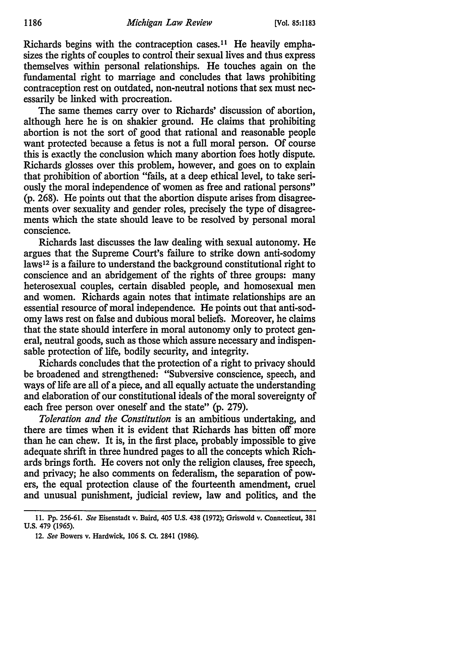Richards begins with the contraception cases.<sup>11</sup> He heavily emphasizes the rights of couples to control their sexual lives and thus express themselves within personal relationships. He touches again on the fundamental right to marriage and concludes that laws prohibiting contraception rest on outdated, non-neutral notions that sex must necessarily be linked with procreation.

The same themes carry over to Richards' discussion of abortion, although here he is on shakier ground. He claims that prohibiting abortion is not the sort of good that rational and reasonable people want protected because a fetus is not a full moral person. Of course this is exactly the conclusion which many abortion foes hotly dispute. Richards glosses over this problem, however, and goes on to explain that prohibition of abortion "fails, at a deep ethical level, to take seriously the moral independence of women as free and rational persons" (p. 268). He points out that the abortion dispute arises from disagreements over sexuality and gender roles, precisely the type of disagreements which the state should leave to be resolved by personal moral conscience.

Richards last discusses the law dealing with sexual autonomy. He argues that the Supreme Court's failure to strike down anti-sodomy laws12 is a failure to understand the background constitutional right to conscience and an abridgement of the rights of three groups: many heterosexual couples, certain disabled people, and homosexual men and women. Richards again notes that intimate relationships are an essential resource of moral independence. He points out that anti-sodomy laws rest on false and dubious moral beliefs. Moreover, he claims that the state should interfere in moral autonomy only to protect general, neutral goods, such as those which assure necessary and indispensable protection of life, bodily security, and integrity.

Richards concludes that the protection of a right to privacy should be broadened and strengthened: "Subversive conscience, speech, and ways of life are all of a piece, and all equally actuate the understanding and elaboration of our constitutional ideals of the moral sovereignty of each free person over oneself and the state" (p. 279).

*Toleration and the Constitution* is an ambitious undertaking, and there are times when it is evident that Richards has bitten off more than he can chew. It is, in the first place, probably impossible to give adequate shrift in three hundred pages to all the concepts which Richards brings forth. He covers not only the religion clauses, free speech, and privacy; he also comments on federalism, the separation of powers, the equal protection clause of the fourteenth amendment, cruel and unusual punishment, judicial review, law and politics, and the

<sup>11.</sup> Pp. 256-61. *See* Eisenstadt v. Baird, 405 U.S. 438 (1972); Griswold v. Connecticut, 381 U.S. 479 (1965).

<sup>12.</sup> *See* Bowers v. Hardwick, 106 S. Ct. 2841 (1986).